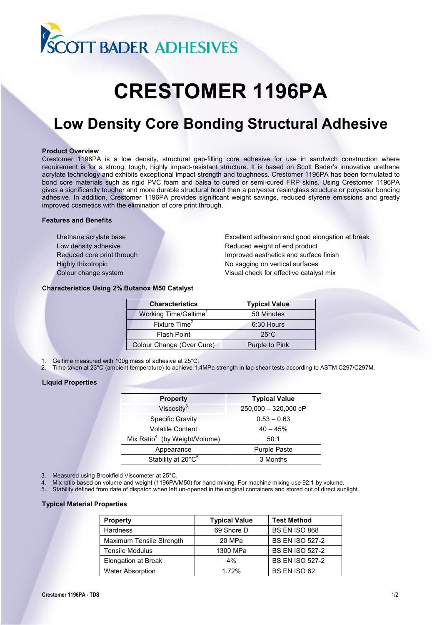

# **CRESTOMER 1196PA**

# **Low Density Core Bonding Structural Adhesive**

## **Product Overview**

Crestomer 1196PA is a low density, structural gap-filling core adhesive for use in sandwich construction where requirement is for a strong, tough, highly impact-resistant structure. It is based on Scott Bader's innovative urethane acrylate technology and exhibits exceptional impact strength and toughness. Crestomer 1196PA has been formulated to bond core materials such as rigid PVC foam and balsa to cured or semi-cured FRP skins. Using Crestomer 1196PA gives a significantly tougher and more durable structural bond than a polyester resin/glass structure or polyester bonding adhesive. In addition, Crestomer 1196PA provides significant weight savings, reduced styrene emissions and greatly improved cosmetics with the elimination of core print through.

# **Features and Benefits**

Urethane acrylate base Excellent adhesion and good elongation at break Low density adhesive **Reduced weight of end product** Reduced core print through **Improved aesthetics and surface finish** Highly thixotropic No sagging on vertical surfaces Colour change system Visual check for effective catalyst mix

# **Characteristics Using 2% Butanox M50 Catalyst**

| <b>Characteristics</b>            | <b>Typical Value</b> |
|-----------------------------------|----------------------|
| Working Time/Geltime <sup>1</sup> | 50 Minutes           |
| Fixture Time <sup>2</sup>         | 6:30 Hours           |
| Flash Point                       | $25^{\circ}$ C       |
| Colour Change (Over Cure)         | Purple to Pink       |

- 1. Geltime measured with 100g mass of adhesive at 25°C.
- 2. Time taken at 23°C (ambient temperature) to achieve 1.4MPa strength in lap-shear tests according to ASTM C297/C297M.

# **Liquid Properties**

| <b>Property</b>                           | <b>Typical Value</b> |
|-------------------------------------------|----------------------|
| Viscosity <sup>3</sup>                    | 250,000 - 320,000 cP |
| <b>Specific Gravity</b>                   | $0.53 - 0.63$        |
| <b>Volatile Content</b>                   | $40 - 45%$           |
| Mix Ratio <sup>4</sup> (by Weight/Volume) | 50:1                 |
| Appearance                                | <b>Purple Paste</b>  |
| Stability at 20°C <sup>5</sup>            | 3 Months             |

- 3. Measured using Brookfield Viscometer at 25°C.
- Mix ratio based on volume and weight (1196PA/M50) for hand mixing. For machine mixing use 92:1 by volume.
- 5. Stability defined from date of dispatch when left un-opened in the original containers and stored out of direct sunlight.

# **Typical Material Properties**

| <b>Property</b>          | <b>Typical Value</b> | <b>Test Method</b>     |
|--------------------------|----------------------|------------------------|
| <b>Hardness</b>          | 69 Shore D           | <b>BS EN ISO 868</b>   |
| Maximum Tensile Strength | 20 MPa               | <b>BS EN ISO 527-2</b> |
| <b>Tensile Modulus</b>   | 1300 MPa             | <b>BS EN ISO 527-2</b> |
| Elongation at Break      | 4%                   | <b>BS EN ISO 527-2</b> |
| <b>Water Absorption</b>  | 1.72%                | BS EN ISO 62           |